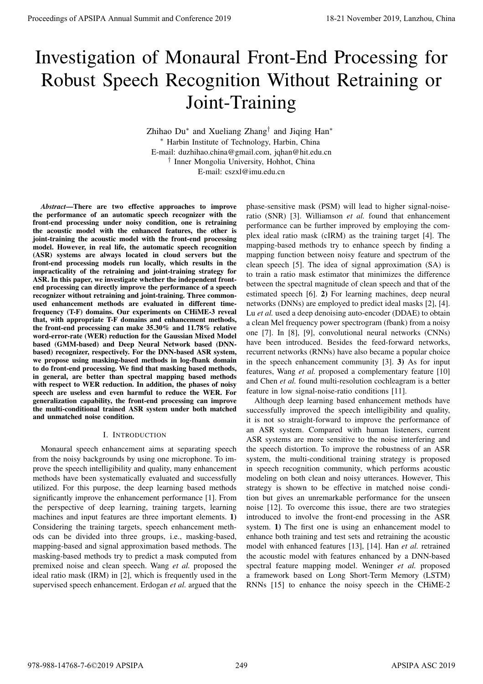# Investigation of Monaural Front-End Processing for Robust Speech Recognition Without Retraining or Joint-Training

Zhihao Du<sup>\*</sup> and Xueliang Zhang<sup>†</sup> and Jiqing Han<sup>\*</sup> ⇤ Harbin Institute of Technology, Harbin, China E-mail: duzhihao.china@gmail.com, jqhan@hit.edu.cn *†* Inner Mongolia University, Hohhot, China E-mail: cszxl@imu.edu.cn

*Abstract*—There are two effective approaches to improve the performance of an automatic speech recognizer with the front-end processing under noisy condition, one is retraining the acoustic model with the enhanced features, the other is joint-training the acoustic model with the front-end processing model. However, in real life, the automatic speech recognition (ASR) systems are always located in cloud servers but the front-end processing models run locally, which results in the impracticality of the retraining and joint-training strategy for ASR. In this paper, we investigate whether the independent frontend processing can directly improve the performance of a speech recognizer without retraining and joint-training. Three commonused enhancement methods are evaluated in different timefrequency (T-F) domains. Our experiments on CHiME-3 reveal that, with appropriate T-F domains and enhancement methods, the front-end processing can make 35.30% and 11.78% relative word-error-rate (WER) reduction for the Gaussian Mixed Model based (GMM-based) and Deep Neural Network based (DNNbased) recognizer, respectively. For the DNN-based ASR system, we propose using masking-based methods in log-fbank domain to do front-end processing. We find that masking based methods, in general, are better than spectral mapping based methods with respect to WER reduction. In addition, the phases of noisy speech are useless and even harmful to reduce the WER. For generalization capability, the front-end processing can improve the multi-conditional trained ASR system under both matched and unmatched noise condition. **Proceedings of APSIPA Annual Summit at Conference 2019**<br> **IT ROODIST** Speech Recognition Without Retraining or<br>  $\frac{1}{2}$   $\frac{1}{2}$   $\frac{1}{2}$   $\frac{1}{2}$   $\frac{1}{2}$   $\frac{1}{2}$   $\frac{1}{2}$   $\frac{1}{2}$   $\frac{1}{2}$   $\frac{1}{2}$   $\frac{1}{2}$ 

# I. INTRODUCTION

Monaural speech enhancement aims at separating speech from the noisy backgrounds by using one microphone. To improve the speech intelligibility and quality, many enhancement methods have been systematically evaluated and successfully utilized. For this purpose, the deep learning based methods significantly improve the enhancement performance [1]. From the perspective of deep learning, training targets, learning machines and input features are three important elements. 1) Considering the training targets, speech enhancement methods can be divided into three groups, i.e., masking-based, mapping-based and signal approximation based methods. The masking-based methods try to predict a mask computed from premixed noise and clean speech. Wang *et al.* proposed the ideal ratio mask (IRM) in [2], which is frequently used in the supervised speech enhancement. Erdogan *et al.* argued that the

phase-sensitive mask (PSM) will lead to higher signal-noiseratio (SNR) [3]. Williamson *et al.* found that enhancement performance can be further improved by employing the complex ideal ratio mask (cIRM) as the training target [4]. The mapping-based methods try to enhance speech by finding a mapping function between noisy feature and spectrum of the clean speech [5]. The idea of signal approximation (SA) is to train a ratio mask estimator that minimizes the difference between the spectral magnitude of clean speech and that of the estimated speech [6]. 2) For learning machines, deep neural networks (DNNs) are employed to predict ideal masks [2], [4]. Lu *et al.* used a deep denoising auto-encoder (DDAE) to obtain a clean Mel frequency power spectrogram (fbank) from a noisy one [7]. In [8], [9], convolutional neural networks (CNNs) have been introduced. Besides the feed-forward networks, recurrent networks (RNNs) have also became a popular choice in the speech enhancement community [3]. 3) As for input features, Wang *et al.* proposed a complementary feature [10] and Chen *et al.* found multi-resolution cochleagram is a better feature in low signal-noise-ratio conditions [11].

Although deep learning based enhancement methods have successfully improved the speech intelligibility and quality, it is not so straight-forward to improve the performance of an ASR system. Compared with human listeners, current ASR systems are more sensitive to the noise interfering and the speech distortion. To improve the robustness of an ASR system, the multi-conditional training strategy is proposed in speech recognition community, which performs acoustic modeling on both clean and noisy utterances. However, This strategy is shown to be effective in matched noise condition but gives an unremarkable performance for the unseen noise [12]. To overcome this issue, there are two strategies introduced to involve the front-end processing in the ASR system. 1) The first one is using an enhancement model to enhance both training and test sets and retraining the acoustic model with enhanced features [13], [14]. Han *et al.* retrained the acoustic model with features enhanced by a DNN-based spectral feature mapping model. Weninger *et al.* proposed a framework based on Long Short-Term Memory (LSTM) RNNs [15] to enhance the noisy speech in the CHiME-2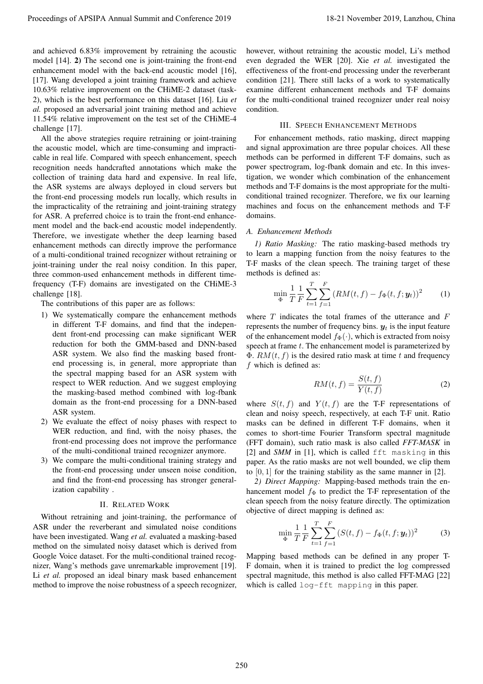and achieved 6.83% improvement by retraining the acoustic model [14]. 2) The second one is joint-training the front-end enhancement model with the back-end acoustic model [16], [17]. Wang developed a joint training framework and achieve 10.63% relative improvement on the CHiME-2 dataset (task-2), which is the best performance on this dataset [16]. Liu *et al.* proposed an adversarial joint training method and achieve 11.54% relative improvement on the test set of the CHiME-4 challenge [17].

All the above strategies require retraining or joint-training the acoustic model, which are time-consuming and impracticable in real life. Compared with speech enhancement, speech recognition needs handcrafted annotations which make the collection of training data hard and expensive. In real life, the ASR systems are always deployed in cloud servers but the front-end processing models run locally, which results in the impracticality of the retraining and joint-training strategy for ASR. A preferred choice is to train the front-end enhancement model and the back-end acoustic model independently. Therefore, we investigate whether the deep learning based enhancement methods can directly improve the performance of a multi-conditional trained recognizer without retraining or joint-training under the real noisy condition. In this paper, three common-used enhancement methods in different timefrequency (T-F) domains are investigated on the CHiME-3 challenge [18]. Proceeding of APSIPA Annual Summit and Conference 2019<br>
and Koos in the Conference 2019 in the Conference 2019 in the Conference 2019 in the Conference 2019 in the Conference 2019 in the Conference 2019 in the Conference

The contributions of this paper are as follows:

- 1) We systematically compare the enhancement methods in different T-F domains, and find that the independent front-end processing can make significant WER reduction for both the GMM-based and DNN-based ASR system. We also find the masking based frontend processing is, in general, more appropriate than the spectral mapping based for an ASR system with respect to WER reduction. And we suggest employing the masking-based method combined with log-fbank domain as the front-end processing for a DNN-based ASR system.
- 2) We evaluate the effect of noisy phases with respect to WER reduction, and find, with the noisy phases, the front-end processing does not improve the performance of the multi-conditional trained recognizer anymore.
- 3) We compare the multi-conditional training strategy and the front-end processing under unseen noise condition, and find the front-end processing has stronger generalization capability .

#### II. RELATED WORK

Without retraining and joint-training, the performance of ASR under the reverberant and simulated noise conditions have been investigated. Wang *et al.* evaluated a masking-based method on the simulated noisy dataset which is derived from Google Voice dataset. For the multi-conditional trained recognizer, Wang's methods gave unremarkable improvement [19]. Li *et al.* proposed an ideal binary mask based enhancement method to improve the noise robustness of a speech recognizer,

however, without retraining the acoustic model, Li's method even degraded the WER [20]. Xie *et al.* investigated the effectiveness of the front-end processing under the reverberant condition [21]. There still lacks of a work to systematically examine different enhancement methods and T-F domains for the multi-conditional trained recognizer under real noisy condition.

# III. SPEECH ENHANCEMENT METHODS

For enhancement methods, ratio masking, direct mapping and signal approximation are three popular choices. All these methods can be performed in different T-F domains, such as power spectrogram, log-fbank domain and etc. In this investigation, we wonder which combination of the enhancement methods and T-F domains is the most appropriate for the multiconditional trained recognizer. Therefore, we fix our learning machines and focus on the enhancement methods and T-F domains.

#### *A. Enhancement Methods*

*1) Ratio Masking:* The ratio masking-based methods try to learn a mapping function from the noisy features to the T-F masks of the clean speech. The training target of these methods is defined as:

$$
\min_{\Phi} \frac{1}{T} \frac{1}{F} \sum_{t=1}^{T} \sum_{f=1}^{F} (RM(t, f) - f_{\Phi}(t, f; \mathbf{y}_t))^2 \tag{1}
$$

where *T* indicates the total frames of the utterance and *F* represents the number of frequency bins.  $y_t$  is the input feature of the enhancement model  $f_{\Phi}(\cdot)$ , which is extracted from noisy speech at frame *t*. The enhancement model is parameterized by  $\Phi$ . *RM*(*t*, *f*) is the desired ratio mask at time *t* and frequency *f* which is defined as:

$$
RM(t,f) = \frac{S(t,f)}{Y(t,f)}
$$
\n(2)

where  $S(t, f)$  and  $Y(t, f)$  are the T-F representations of clean and noisy speech, respectively, at each T-F unit. Ratio masks can be defined in different T-F domains, when it comes to short-time Fourier Transform spectral magnitude (FFT domain), such ratio mask is also called *FFT-MASK* in [2] and *SMM* in [1], which is called fft masking in this paper. As the ratio masks are not well bounded, we clip them to [0*,* 1] for the training stability as the same manner in [2].

*2) Direct Mapping:* Mapping-based methods train the enhancement model  $f_{\Phi}$  to predict the T-F representation of the clean speech from the noisy feature directly. The optimization objective of direct mapping is defined as:

$$
\min_{\Phi} \frac{1}{T} \frac{1}{F} \sum_{t=1}^{T} \sum_{f=1}^{F} (S(t, f) - f_{\Phi}(t, f; \mathbf{y}_t))^2 \tag{3}
$$

Mapping based methods can be defined in any proper T-F domain, when it is trained to predict the log compressed spectral magnitude, this method is also called FFT-MAG [22] which is called log-fft mapping in this paper.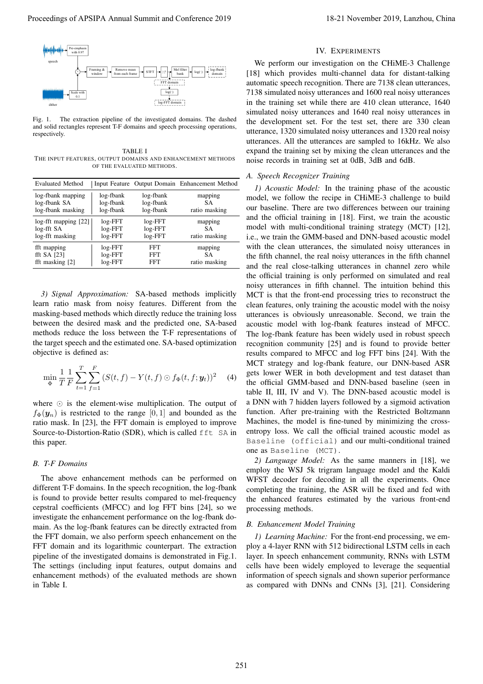

Fig. 1. The extraction pipeline of the investigated domains. The dashed and solid rectangles represent T-F domains and speech processing operations, respectively.

TABLE I THE INPUT FEATURES, OUTPUT DOMAINS AND ENHANCEMENT METHODS OF THE EVALUATED METHODS.

| <b>Evaluated Method</b>   |           |           | Input Feature Output Domain Enhancement Method |
|---------------------------|-----------|-----------|------------------------------------------------|
| log-fbank mapping         | log-fbank | log-fbank | mapping                                        |
| log-fbank SA              | log-fbank | log-fbank | SА                                             |
| log-fbank masking         | log-fbank | log-fbank | ratio masking                                  |
| $log$ -fft mapping $[22]$ | $log-FFT$ | $log-FFT$ | mapping                                        |
| log-fft SA                | $log-FFT$ | $log-FFT$ | SА                                             |
| log-fft masking           | $log-FFT$ | $log-FFT$ | ratio masking                                  |
| fft mapping               | $log-FFT$ | FFT       | mapping                                        |
| fft SA $[23]$             | $log-FFT$ | FFT       | SА                                             |
| fft masking [2]           | $log-FFT$ | FFT       | ratio masking                                  |

*3) Signal Approximation:* SA-based methods implicitly learn ratio mask from noisy features. Different from the masking-based methods which directly reduce the training loss between the desired mask and the predicted one, SA-based methods reduce the loss between the T-F representations of the target speech and the estimated one. SA-based optimization objective is defined as:

$$
\min_{\Phi} \frac{1}{T} \frac{1}{F} \sum_{t=1}^{T} \sum_{f=1}^{F} (S(t, f) - Y(t, f) \odot f_{\Phi}(t, f; \mathbf{y}_t))^2 \tag{4}
$$

where  $\odot$  is the element-wise multiplication. The output of  $f_{\Phi}(\mathbf{y}_n)$  is restricted to the range [0, 1] and bounded as the ratio mask. In [23], the FFT domain is employed to improve Source-to-Distortion-Ratio (SDR), which is called fft SA in this paper.

#### *B. T-F Domains*

The above enhancement methods can be performed on different T-F domains. In the speech recognition, the log-fbank is found to provide better results compared to mel-frequency cepstral coefficients (MFCC) and log FFT bins [24], so we investigate the enhancement performance on the log-fbank domain. As the log-fbank features can be directly extracted from the FFT domain, we also perform speech enhancement on the FFT domain and its logarithmic counterpart. The extraction pipeline of the investigated domains is demonstrated in Fig.1. The settings (including input features, output domains and enhancement methods) of the evaluated methods are shown in Table I.

#### IV. EXPERIMENTS

We perform our investigation on the CHiME-3 Challenge [18] which provides multi-channel data for distant-talking automatic speech recognition. There are 7138 clean utterances, 7138 simulated noisy utterances and 1600 real noisy utterances in the training set while there are 410 clean utterance, 1640 simulated noisy utterances and 1640 real noisy utterances in the development set. For the test set, there are 330 clean utterance, 1320 simulated noisy utterances and 1320 real noisy utterances. All the utterances are sampled to 16kHz. We also expand the training set by mixing the clean utterances and the noise records in training set at 0dB, 3dB and 6dB.

# *A. Speech Recognizer Training*

*1) Acoustic Model:* In the training phase of the acoustic model, we follow the recipe in CHiME-3 challenge to build our baseline. There are two differences between our training and the official training in [18]. First, we train the acoustic model with multi-conditional training strategy (MCT) [12], i.e., we train the GMM-based and DNN-based acoustic model with the clean utterances, the simulated noisy utterances in the fifth channel, the real noisy utterances in the fifth channel and the real close-talking utterances in channel zero while the official training is only performed on simulated and real noisy utterances in fifth channel. The intuition behind this MCT is that the front-end processing tries to reconstruct the clean features, only training the acoustic model with the noisy utterances is obviously unreasonable. Second, we train the acoustic model with log-fbank features instead of MFCC. The log-fbank feature has been widely used in robust speech recognition community [25] and is found to provide better results compared to MFCC and log FFT bins [24]. With the MCT strategy and log-fbank feature, our DNN-based ASR gets lower WER in both development and test dataset than the official GMM-based and DNN-based baseline (seen in table II, III, IV and V). The DNN-based acoustic model is a DNN with 7 hidden layers followed by a sigmoid activation function. After pre-training with the Restricted Boltzmann Machines, the model is fine-tuned by minimizing the crossentropy loss. We call the official trained acoustic model as Baseline (official) and our multi-conditional trained one as Baseline (MCT). Proceeding of APSIPA Annual Summit at China 261 November 2019<br>
Proceedings of APSIPA Annual Summit and China 261 November 2019, The European Conference 2019, Lanzhou, China 261 November 2019, Lanzhou, China 261 November 2

*2) Language Model:* As the same manners in [18], we employ the WSJ 5k trigram language model and the Kaldi WFST decoder for decoding in all the experiments. Once completing the training, the ASR will be fixed and fed with the enhanced features estimated by the various front-end processing methods.

## *B. Enhancement Model Training*

*1) Learning Machine:* For the front-end processing, we employ a 4-layer RNN with 512 bidirectional LSTM cells in each layer. In speech enhancement community, RNNs with LSTM cells have been widely employed to leverage the sequential information of speech signals and shown superior performance as compared with DNNs and CNNs [3], [21]. Considering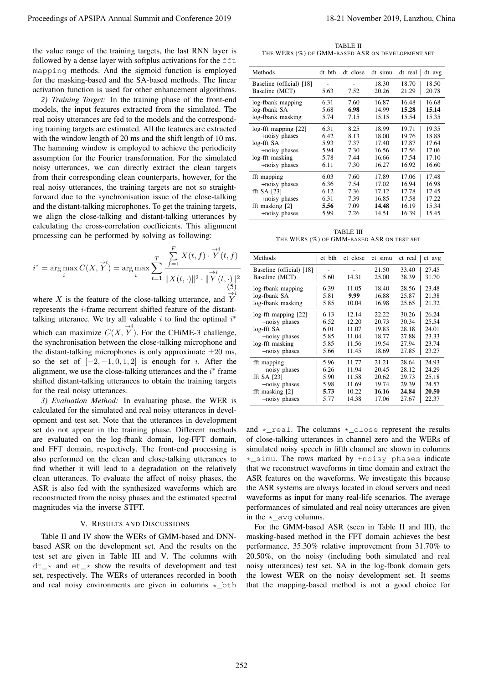$$
i^* = \arg \max_{i} C(X, \vec{Y}) = \arg \max_{i} \sum_{t=1}^{T} \frac{\sum_{f=1}^{F} X(t, f) \cdot \vec{Y}(t, f)}{\|X(t, \cdot)\|^2 \cdot \vec{Y}(t, \cdot)\|^2}
$$
  

$$
\sum_{\substack{i=1 \\ \text{odd}}}^{F} \frac{X(t, f) \cdot \vec{Y}(t, f)}{\sum_{i=1}^{F} \sum_{j=1}^{F} X(t, f, f)} \cdot \frac{\sum_{f=1}^{F} X(t, f) \cdot \vec{Y}(t, f)}{\sum_{i=1}^{F} X(t, f, f)}
$$

#### V. RESULTS AND DISCUSSIONS

TABLE II THE WERS (%) OF GMM-BASED ASR ON DEVELOPMENT SET

| Proceedings of APSIPA Annual Summit and Conference 2019                                                                                                                                                                                                                                                                                                                                                                                                                                                                                                                                                                                                                                                                                                                                                                                                                                                                                                                                                                                                                                               |                                                                                                                                                                                                                                                                                                                                                                                                                                                                                                                                                                                                                                                                                                                                                                                                                                                                                                                                                                                                                                                     |              | 18-21 November 2019, Lanzhou, China |                |                |                      |
|-------------------------------------------------------------------------------------------------------------------------------------------------------------------------------------------------------------------------------------------------------------------------------------------------------------------------------------------------------------------------------------------------------------------------------------------------------------------------------------------------------------------------------------------------------------------------------------------------------------------------------------------------------------------------------------------------------------------------------------------------------------------------------------------------------------------------------------------------------------------------------------------------------------------------------------------------------------------------------------------------------------------------------------------------------------------------------------------------------|-----------------------------------------------------------------------------------------------------------------------------------------------------------------------------------------------------------------------------------------------------------------------------------------------------------------------------------------------------------------------------------------------------------------------------------------------------------------------------------------------------------------------------------------------------------------------------------------------------------------------------------------------------------------------------------------------------------------------------------------------------------------------------------------------------------------------------------------------------------------------------------------------------------------------------------------------------------------------------------------------------------------------------------------------------|--------------|-------------------------------------|----------------|----------------|----------------------|
| the value range of the training targets, the last RNN layer is                                                                                                                                                                                                                                                                                                                                                                                                                                                                                                                                                                                                                                                                                                                                                                                                                                                                                                                                                                                                                                        | THE WERS (%) OF GMM-BASED ASR ON DEVELOPMENT SET                                                                                                                                                                                                                                                                                                                                                                                                                                                                                                                                                                                                                                                                                                                                                                                                                                                                                                                                                                                                    |              | TABLE II                            |                |                |                      |
| followed by a dense layer with softplus activations for the fft<br>mapping methods. And the sigmoid function is employed                                                                                                                                                                                                                                                                                                                                                                                                                                                                                                                                                                                                                                                                                                                                                                                                                                                                                                                                                                              | Methods                                                                                                                                                                                                                                                                                                                                                                                                                                                                                                                                                                                                                                                                                                                                                                                                                                                                                                                                                                                                                                             | dt_bth       | dt_close                            | dt_simu        | dt_real        | $dt$ <sub>_avg</sub> |
| for the masking-based and the SA-based methods. The linear<br>activation function is used for other enhancement algorithms.                                                                                                                                                                                                                                                                                                                                                                                                                                                                                                                                                                                                                                                                                                                                                                                                                                                                                                                                                                           | Baseline (official) [18]<br>Baseline (MCT)                                                                                                                                                                                                                                                                                                                                                                                                                                                                                                                                                                                                                                                                                                                                                                                                                                                                                                                                                                                                          | 5.63         | 7.52                                | 18.30<br>20.26 | 18.70<br>21.29 | 18.50<br>20.78       |
| 2) Training Target: In the training phase of the front-end                                                                                                                                                                                                                                                                                                                                                                                                                                                                                                                                                                                                                                                                                                                                                                                                                                                                                                                                                                                                                                            | log-fbank mapping                                                                                                                                                                                                                                                                                                                                                                                                                                                                                                                                                                                                                                                                                                                                                                                                                                                                                                                                                                                                                                   | 6.31         | 7.60                                | 16.87          | 16.48          | 16.68                |
| models, the input features extracted from the simulated. The<br>real noisy utterances are fed to the models and the correspond-                                                                                                                                                                                                                                                                                                                                                                                                                                                                                                                                                                                                                                                                                                                                                                                                                                                                                                                                                                       | log-fbank SA<br>log-fbank masking                                                                                                                                                                                                                                                                                                                                                                                                                                                                                                                                                                                                                                                                                                                                                                                                                                                                                                                                                                                                                   | 5.68<br>5.74 | 6.98<br>7.15                        | 14.99<br>15.15 | 15.28<br>15.54 | 15.14<br>15.35       |
| ing training targets are estimated. All the features are extracted                                                                                                                                                                                                                                                                                                                                                                                                                                                                                                                                                                                                                                                                                                                                                                                                                                                                                                                                                                                                                                    | log-fft mapping [22]                                                                                                                                                                                                                                                                                                                                                                                                                                                                                                                                                                                                                                                                                                                                                                                                                                                                                                                                                                                                                                | 6.31         | 8.25                                | 18.99          | 19.71          | 19.35                |
| with the window length of 20 ms and the shift length of 10 ms.                                                                                                                                                                                                                                                                                                                                                                                                                                                                                                                                                                                                                                                                                                                                                                                                                                                                                                                                                                                                                                        | +noisy phases<br>log-fft SA                                                                                                                                                                                                                                                                                                                                                                                                                                                                                                                                                                                                                                                                                                                                                                                                                                                                                                                                                                                                                         | 6.42<br>5.93 | 8.13<br>7.37                        | 18.00<br>17.40 | 19.76<br>17.87 | 18.88<br>17.64       |
| The hamming window is employed to achieve the periodicity<br>assumption for the Fourier transformation. For the simulated                                                                                                                                                                                                                                                                                                                                                                                                                                                                                                                                                                                                                                                                                                                                                                                                                                                                                                                                                                             | +noisy phases<br>log-fft masking                                                                                                                                                                                                                                                                                                                                                                                                                                                                                                                                                                                                                                                                                                                                                                                                                                                                                                                                                                                                                    | 5.94<br>5.78 | 7.30<br>7.44                        | 16.56<br>16.66 | 17.56<br>17.54 | 17.06<br>17.10       |
| noisy utterances, we can directly extract the clean targets                                                                                                                                                                                                                                                                                                                                                                                                                                                                                                                                                                                                                                                                                                                                                                                                                                                                                                                                                                                                                                           | +noisy phases                                                                                                                                                                                                                                                                                                                                                                                                                                                                                                                                                                                                                                                                                                                                                                                                                                                                                                                                                                                                                                       | 6.11         | 7.30                                | 16.27          | 16.92          | 16.60                |
| from their corresponding clean counterparts, however, for the                                                                                                                                                                                                                                                                                                                                                                                                                                                                                                                                                                                                                                                                                                                                                                                                                                                                                                                                                                                                                                         | fft mapping                                                                                                                                                                                                                                                                                                                                                                                                                                                                                                                                                                                                                                                                                                                                                                                                                                                                                                                                                                                                                                         | 6.03         | 7.60                                | 17.89          | 17.06          | 17.48                |
| real noisy utterances, the training targets are not so straight-                                                                                                                                                                                                                                                                                                                                                                                                                                                                                                                                                                                                                                                                                                                                                                                                                                                                                                                                                                                                                                      | +noisy phases<br>fft SA $[23]$                                                                                                                                                                                                                                                                                                                                                                                                                                                                                                                                                                                                                                                                                                                                                                                                                                                                                                                                                                                                                      | 6.36<br>6.12 | 7.54<br>7.36                        | 17.02<br>17.12 | 16.94<br>17.78 | 16.98<br>17.45       |
| forward due to the synchronisation issue of the close-talking                                                                                                                                                                                                                                                                                                                                                                                                                                                                                                                                                                                                                                                                                                                                                                                                                                                                                                                                                                                                                                         | +noisy phases<br>fft masking $[2]$                                                                                                                                                                                                                                                                                                                                                                                                                                                                                                                                                                                                                                                                                                                                                                                                                                                                                                                                                                                                                  | 6.31<br>5.56 | 7.39<br>7.09                        | 16.85<br>14.48 | 17.58<br>16.19 | 17.22<br>15.34       |
| and the distant-talking microphones. To get the training targets,<br>we align the close-talking and distant-talking utterances by                                                                                                                                                                                                                                                                                                                                                                                                                                                                                                                                                                                                                                                                                                                                                                                                                                                                                                                                                                     | +noisy phases                                                                                                                                                                                                                                                                                                                                                                                                                                                                                                                                                                                                                                                                                                                                                                                                                                                                                                                                                                                                                                       | 5.99         | 7.26                                | 14.51          | 16.39          | 15.45                |
| calculating the cross-correlation coefficients. This alignment                                                                                                                                                                                                                                                                                                                                                                                                                                                                                                                                                                                                                                                                                                                                                                                                                                                                                                                                                                                                                                        |                                                                                                                                                                                                                                                                                                                                                                                                                                                                                                                                                                                                                                                                                                                                                                                                                                                                                                                                                                                                                                                     |              | <b>TABLE III</b>                    |                |                |                      |
| processing can be performed by solving as following:                                                                                                                                                                                                                                                                                                                                                                                                                                                                                                                                                                                                                                                                                                                                                                                                                                                                                                                                                                                                                                                  | THE WERS (%) OF GMM-BASED ASR ON TEST SET                                                                                                                                                                                                                                                                                                                                                                                                                                                                                                                                                                                                                                                                                                                                                                                                                                                                                                                                                                                                           |              |                                     |                |                |                      |
| $i^* = \arg \max_i C(X, \vec{Y}) = \arg \max_i \sum_{t=1}^T \frac{\sum_{f=1}^F X(t, f) \cdot \vec{Y}(t, f)}{\ X(t, \cdot)\ ^2 \cdot \vec{Y}(t, \cdot)\ ^2}$                                                                                                                                                                                                                                                                                                                                                                                                                                                                                                                                                                                                                                                                                                                                                                                                                                                                                                                                           | Methods                                                                                                                                                                                                                                                                                                                                                                                                                                                                                                                                                                                                                                                                                                                                                                                                                                                                                                                                                                                                                                             | et_bth       | et_close                            | et_simu        | et_real        | et_avg               |
|                                                                                                                                                                                                                                                                                                                                                                                                                                                                                                                                                                                                                                                                                                                                                                                                                                                                                                                                                                                                                                                                                                       | Baseline (official) [18]<br>Baseline (MCT)                                                                                                                                                                                                                                                                                                                                                                                                                                                                                                                                                                                                                                                                                                                                                                                                                                                                                                                                                                                                          | 5.60         | 14.31                               | 21.50<br>25.00 | 33.40<br>38.39 | 27.45<br>31.70       |
|                                                                                                                                                                                                                                                                                                                                                                                                                                                                                                                                                                                                                                                                                                                                                                                                                                                                                                                                                                                                                                                                                                       | log-fbank mapping<br>log-fbank SA                                                                                                                                                                                                                                                                                                                                                                                                                                                                                                                                                                                                                                                                                                                                                                                                                                                                                                                                                                                                                   | 6.39<br>5.81 | 11.05<br>9.99                       | 18.40<br>16.88 | 28.56<br>25.87 | 23.48<br>21.38       |
| where $X$ is the feature of the close-talking utterance, and $Y$<br>represents the <i>i</i> -frame recurrent shifted feature of the distant-                                                                                                                                                                                                                                                                                                                                                                                                                                                                                                                                                                                                                                                                                                                                                                                                                                                                                                                                                          | log-fbank masking                                                                                                                                                                                                                                                                                                                                                                                                                                                                                                                                                                                                                                                                                                                                                                                                                                                                                                                                                                                                                                   | 5.85         | 10.04                               | 16.98          | 25.65          | 21.32                |
| talking utterance. We try all valuable $i$ to find the optimal $i^*$                                                                                                                                                                                                                                                                                                                                                                                                                                                                                                                                                                                                                                                                                                                                                                                                                                                                                                                                                                                                                                  | log-fft mapping [22]                                                                                                                                                                                                                                                                                                                                                                                                                                                                                                                                                                                                                                                                                                                                                                                                                                                                                                                                                                                                                                | 6.13         | 12.14                               | 22.22          | 30.26          | 26.24                |
|                                                                                                                                                                                                                                                                                                                                                                                                                                                                                                                                                                                                                                                                                                                                                                                                                                                                                                                                                                                                                                                                                                       | +noisy phases<br>log-fft SA                                                                                                                                                                                                                                                                                                                                                                                                                                                                                                                                                                                                                                                                                                                                                                                                                                                                                                                                                                                                                         | 6.52<br>6.01 | 12.20<br>11.07                      | 20.73<br>19.83 | 30.34<br>28.18 | 25.54<br>24.01       |
| which can maximize $C(X, Y)$ . For the CHiME-3 challenge,                                                                                                                                                                                                                                                                                                                                                                                                                                                                                                                                                                                                                                                                                                                                                                                                                                                                                                                                                                                                                                             | +noisy phases                                                                                                                                                                                                                                                                                                                                                                                                                                                                                                                                                                                                                                                                                                                                                                                                                                                                                                                                                                                                                                       | 5.85         | 11.04                               | 18.77          | 27.88          | 23.33                |
| the synchronisation between the close-talking microphone and<br>the distant-talking microphones is only approximate $\pm 20$ ms,                                                                                                                                                                                                                                                                                                                                                                                                                                                                                                                                                                                                                                                                                                                                                                                                                                                                                                                                                                      | log-fft masking<br>+noisy phases                                                                                                                                                                                                                                                                                                                                                                                                                                                                                                                                                                                                                                                                                                                                                                                                                                                                                                                                                                                                                    | 5.85<br>5.66 | 11.56<br>11.45                      | 19.54<br>18.69 | 27.94<br>27.85 | 23.74<br>23.27       |
| so the set of $[-2, -1, 0, 1, 2]$ is enough for <i>i</i> . After the                                                                                                                                                                                                                                                                                                                                                                                                                                                                                                                                                                                                                                                                                                                                                                                                                                                                                                                                                                                                                                  | fft mapping                                                                                                                                                                                                                                                                                                                                                                                                                                                                                                                                                                                                                                                                                                                                                                                                                                                                                                                                                                                                                                         | 5.96         | 11.77                               | 21.21          | 28.64          | 24.93                |
| alignment, we use the close-talking utterances and the $i^*$ frame                                                                                                                                                                                                                                                                                                                                                                                                                                                                                                                                                                                                                                                                                                                                                                                                                                                                                                                                                                                                                                    | +noisy phases                                                                                                                                                                                                                                                                                                                                                                                                                                                                                                                                                                                                                                                                                                                                                                                                                                                                                                                                                                                                                                       | 6.26         | 11.94                               | 20.45          | 28.12          | 24.29                |
| shifted distant-talking utterances to obtain the training targets                                                                                                                                                                                                                                                                                                                                                                                                                                                                                                                                                                                                                                                                                                                                                                                                                                                                                                                                                                                                                                     | fft SA $[23]$<br>+noisy phases                                                                                                                                                                                                                                                                                                                                                                                                                                                                                                                                                                                                                                                                                                                                                                                                                                                                                                                                                                                                                      | 5.90<br>5.98 | 11.58<br>11.69                      | 20.62<br>19.74 | 29.73<br>29.39 | 25.18<br>24.57       |
| for the real noisy utterances.                                                                                                                                                                                                                                                                                                                                                                                                                                                                                                                                                                                                                                                                                                                                                                                                                                                                                                                                                                                                                                                                        | fft masking [2]                                                                                                                                                                                                                                                                                                                                                                                                                                                                                                                                                                                                                                                                                                                                                                                                                                                                                                                                                                                                                                     | 5.73         | 10.22                               | 16.16          | 24.84          | 20.50                |
| 3) Evaluation Method: In evaluating phase, the WER is                                                                                                                                                                                                                                                                                                                                                                                                                                                                                                                                                                                                                                                                                                                                                                                                                                                                                                                                                                                                                                                 | +noisy phases                                                                                                                                                                                                                                                                                                                                                                                                                                                                                                                                                                                                                                                                                                                                                                                                                                                                                                                                                                                                                                       | 5.77         | 14.38                               | 17.06          | 27.67          | 22.37                |
| calculated for the simulated and real noisy utterances in devel-<br>opment and test set. Note that the utterances in development<br>set do not appear in the training phase. Different methods<br>are evaluated on the log-fbank domain, log-FFT domain,<br>and FFT domain, respectively. The front-end processing is<br>also performed on the clean and close-talking utterances to<br>find whether it will lead to a degradation on the relatively<br>clean utterances. To evaluate the affect of noisy phases, the<br>ASR is also fed with the synthesized waveforms which are<br>reconstructed from the noisy phases and the estimated spectral<br>magnitudes via the inverse STFT.<br>V. RESULTS AND DISCUSSIONS<br>Table II and IV show the WERs of GMM-based and DNN-<br>based ASR on the development set. And the results on the<br>test set are given in Table III and V. The columns with<br>$dt_{+}$ and $et_{+}$ show the results of development and test<br>set, respectively. The WERs of utterances recorded in booth<br>and real noisy environments are given in columns $\star$ _bth | and $\star$ _real. The columns $\star$ _close represent the results<br>of close-talking utterances in channel zero and the WERs of<br>simulated noisy speech in fifth channel are shown in columns<br>*_simu. The rows marked by +noisy phases indicate<br>that we reconstruct waveforms in time domain and extract the<br>ASR features on the waveforms. We investigate this because<br>the ASR systems are always located in cloud servers and need<br>waveforms as input for many real-life scenarios. The average<br>performances of simulated and real noisy utterances are given<br>in the $\star$ _avg columns.<br>For the GMM-based ASR (seen in Table II and III), the<br>masking-based method in the FFT domain achieves the best<br>performance, 35.30% relative improvement from 31.70% to<br>20.50%, on the noisy (including both simulated and real<br>noisy utterances) test set. SA in the log-fbank domain gets<br>the lowest WER on the noisy development set. It seems<br>that the mapping-based method is not a good choice for |              |                                     |                |                |                      |
| 252                                                                                                                                                                                                                                                                                                                                                                                                                                                                                                                                                                                                                                                                                                                                                                                                                                                                                                                                                                                                                                                                                                   |                                                                                                                                                                                                                                                                                                                                                                                                                                                                                                                                                                                                                                                                                                                                                                                                                                                                                                                                                                                                                                                     |              |                                     |                |                |                      |

TABLE III THE WERS (%) OF GMM-BASED ASR ON TEST SET

| Methods                                    | et bth | et close | et simu        | et real        | et_avg         |
|--------------------------------------------|--------|----------|----------------|----------------|----------------|
| Baseline (official) [18]<br>Baseline (MCT) | 5.60   | 14.31    | 21.50<br>25.00 | 33.40<br>38.39 | 27.45<br>31.70 |
| log-fbank mapping                          | 6.39   | 11.05    | 18.40          | 28.56          | 23.48          |
| log-fbank SA                               | 5.81   | 9.99     | 16.88          | 25.87          | 21.38          |
| log-fbank masking                          | 5.85   | 10.04    | 16.98          | 25.65          | 21.32          |
| $log$ -fft mapping $[22]$                  | 6.13   | 12.14    | 22.22          | 30.26          | 26.24          |
| +noisy phases                              | 6.52   | 12.20    | 20.73          | 30.34          | 25.54          |
| log-fft SA                                 | 6.01   | 11.07    | 19.83          | 28.18          | 24.01          |
| +noisy phases                              | 5.85   | 11.04    | 18.77          | 27.88          | 23.33          |
| log-fft masking                            | 5.85   | 11.56    | 19.54          | 27.94          | 23.74          |
| +noisy phases                              | 5.66   | 11.45    | 18.69          | 27.85          | 23.27          |
| fft mapping                                | 5.96   | 11.77    | 21.21          | 28.64          | 24.93          |
| +noisy phases                              | 6.26   | 11.94    | 20.45          | 28.12          | 24.29          |
| fft SA $[23]$                              | 5.90   | 11.58    | 20.62          | 29.73          | 25.18          |
| +noisy phases                              | 5.98   | 11.69    | 19.74          | 29.39          | 24.57          |
| fft masking [2]                            | 5.73   | 10.22    | 16.16          | 24.84          | 20.50          |
| +noisy phases                              | 5.77   | 14.38    | 17.06          | 27.67          | 22.37          |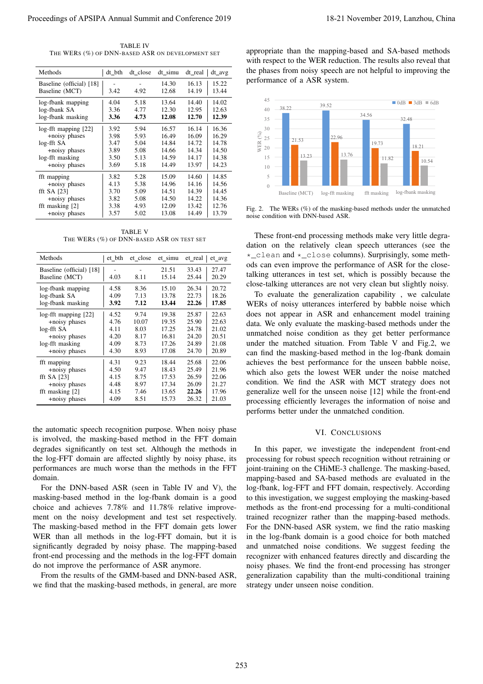TABLE IV THE WERS (%) OF DNN-BASED ASR ON DEVELOPMENT SET

| THE WERS (%) OF DNN-BASED ASR ON DEVELOPMENT SET                                                                       |              |                 |                |                |                |
|------------------------------------------------------------------------------------------------------------------------|--------------|-----------------|----------------|----------------|----------------|
| Methods                                                                                                                | dt_bth       | dt_close        | dt_simu        | dt_real        | dt_avg         |
| Baseline (official) [18]<br>Baseline (MCT)                                                                             | 3.42         | 4.92            | 14.30<br>12.68 | 16.13<br>14.19 | 15.22<br>13.44 |
| log-fbank mapping                                                                                                      | 4.04         | 5.18            | 13.64          | 14.40          | 14.02          |
| log-fbank SA<br>log-fbank masking                                                                                      | 3.36<br>3.36 | 4.77<br>4.73    | 12.30<br>12.08 | 12.95<br>12.70 | 12.63<br>12.39 |
| log-fft mapping [22]                                                                                                   | 3.92         | 5.94            | 16.57          | 16.14          | 16.36          |
| +noisy phases                                                                                                          | 3.98         | 5.93            | 16.49          | 16.09          | 16.29          |
| log-fft SA<br>+noisy phases                                                                                            | 3.47<br>3.89 | 5.04<br>5.08    | 14.84<br>14.66 | 14.72<br>14.34 | 14.78<br>14.50 |
| log-fft masking                                                                                                        | 3.50         | 5.13            | 14.59          | 14.17          | 14.38          |
| +noisy phases                                                                                                          | 3.69         | 5.18            | 14.49          | 13.97          | 14.23          |
| fft mapping<br>+noisy phases                                                                                           | 3.82<br>4.13 | 5.28<br>5.38    | 15.09<br>14.96 | 14.60<br>14.16 | 14.85<br>14.56 |
| fft SA $[23]$                                                                                                          | 3.70         | 5.09            | 14.51          | 14.39          | 14.45          |
| +noisy phases                                                                                                          | 3.82         | 5.08            | 14.50          | 14.22          | 14.36          |
| fft masking [2]<br>+noisy phases                                                                                       | 3.38<br>3.57 | 4.93<br>5.02    | 12.09<br>13.08 | 13.42<br>14.49 | 12.76<br>13.79 |
| THE WERS (%) OF DNN-BASED ASR ON TEST SET<br>Methods                                                                   |              | et_bth et_close | et_simu        | et_real        | et_avg         |
| Baseline (official) [18]<br>Baseline (MCT)                                                                             | 4.03         | 8.11            | 21.51<br>15.14 | 33.43<br>25.44 | 27.47<br>20.29 |
| log-fbank mapping                                                                                                      | 4.58         | 8.36            | 15.10          | 26.34          | 20.72          |
| log-fbank SA                                                                                                           | 4.09         | 7.13            | 13.78          | 22.73          | 18.26          |
| log-fbank masking                                                                                                      | 3.92         | 7.12            | 13.44          | 22.26          | 17.85          |
| $log$ -fft mapping $[22]$                                                                                              | 4.52         | 9.74            | 19.38          | 25.87          | 22.63          |
| +noisy phases<br>log-fft SA                                                                                            | 4.76<br>4.11 | 10.07<br>8.03   | 19.35<br>17.25 | 25.90<br>24.78 | 22.63<br>21.02 |
| +noisy phases                                                                                                          | 4.20         | 8.17            | 16.81          | 24.20          | 20.51          |
| log-fft masking                                                                                                        | 4.09         | 8.73            | 17.26          | 24.89          | 21.08          |
| +noisy phases                                                                                                          | 4.30         | 8.93            | 17.08          | 24.70          | 20.89          |
| fft mapping<br>+noisy phases                                                                                           | 4.31<br>4.50 | 9.23<br>9.47    | 18.44<br>18.43 | 25.68<br>25.49 | 22.06<br>21.96 |
| fft SA $[23]$<br>+noisy phases                                                                                         | 4.15<br>4.48 | 8.75<br>8.97    | 17.53<br>17.34 | 26.59<br>26.09 | 22.06<br>21.27 |
| fft masking [2]                                                                                                        | 4.15         | 7.46            | 13.65          | 22.26          | 17.96          |
| +noisy phases                                                                                                          | 4.09         | 8.51            | 15.73          | 26.32          | 21.03          |
|                                                                                                                        |              |                 |                |                |                |
| the automatic speech recognition purpose. When noisy phase                                                             |              |                 |                |                |                |
| is involved, the masking-based method in the FFT domain<br>degrades significantly on test set. Although the methods in |              |                 |                |                |                |
| the log-FFT domain are affected slightly by noisy phase, its                                                           |              |                 |                |                |                |
| performances are much worse than the methods in the FFT                                                                |              |                 |                |                |                |
| domain.                                                                                                                |              |                 |                |                |                |
| For the DNN-based ASR (seen in Table IV and V), the                                                                    |              |                 |                |                |                |
| masking-based method in the log-fbank domain is a good                                                                 |              |                 |                |                |                |
| choice and achieves 7.78% and 11.78% relative improve-                                                                 |              |                 |                |                |                |
| ment on the noisy development and test set respectively.                                                               |              |                 |                |                |                |
| The masking-based method in the FFT domain gets lower                                                                  |              |                 |                |                |                |
| WER than all methods in the log-FFT domain, but it is                                                                  |              |                 |                |                |                |
| significantly degraded by noisy phase. The mapping-based                                                               |              |                 |                |                |                |
| front-end processing and the methods in the log-FFT domain<br>do not improve the performance of ASR anymore.           |              |                 |                |                |                |
| From the results of the GMM-based and DNN-based ASR,                                                                   |              |                 |                |                |                |
| we find that the masking-based methods, in general, are more                                                           |              |                 |                |                |                |
|                                                                                                                        |              |                 |                |                |                |
|                                                                                                                        |              |                 |                |                |                |
|                                                                                                                        |              |                 |                |                |                |
|                                                                                                                        |              |                 |                |                |                |
|                                                                                                                        |              |                 |                |                |                |
|                                                                                                                        |              |                 |                |                |                |
|                                                                                                                        |              |                 |                |                |                |
|                                                                                                                        |              |                 |                |                |                |

TABLE V THE WERS (%) OF DNN-BASED ASR ON TEST SET

| Methods                                    | et_bth | et close | et simu        | $et_{real}$    | et_avg         |
|--------------------------------------------|--------|----------|----------------|----------------|----------------|
| Baseline (official) [18]<br>Baseline (MCT) | 4.03   | 8.11     | 21.51<br>15.14 | 33.43<br>25.44 | 27.47<br>20.29 |
| log-fbank mapping                          | 4.58   | 8.36     | 15.10          | 26.34          | 20.72          |
| log-fbank SA                               | 4.09   | 7.13     | 13.78          | 22.73          | 18.26          |
| log-fbank masking                          | 3.92   | 7.12     | 13.44          | 22.26          | 17.85          |
| $log$ -fft mapping $[22]$                  | 4.52   | 9.74     | 19.38          | 25.87          | 22.63          |
| +noisy phases                              | 4.76   | 10.07    | 19.35          | 25.90          | 22.63          |
| log-fft SA                                 | 4.11   | 8.03     | 17.25          | 24.78          | 21.02          |
| +noisy phases                              | 4.20   | 8.17     | 16.81          | 24.20          | 20.51          |
| log-fft masking                            | 4.09   | 8.73     | 17.26          | 24.89          | 21.08          |
| +noisy phases                              | 4.30   | 8.93     | 17.08          | 24.70          | 20.89          |
| fft mapping                                | 4.31   | 9.23     | 18.44          | 25.68          | 22.06          |
| +noisy phases                              | 4.50   | 9.47     | 18.43          | 25.49          | 21.96          |
| fft SA $[23]$                              | 4.15   | 8.75     | 17.53          | 26.59          | 22.06          |
| +noisy phases                              | 4.48   | 8.97     | 17.34          | 26.09          | 21.27          |
| fft masking [2]                            | 4.15   | 7.46     | 13.65          | 22.26          | 17.96          |
| +noisy phases                              | 4.09   | 8.51     | 15.73          | 26.32          | 21.03          |



Fig. 2. The WERs (%) of the masking-based methods under the unmatched noise condition with DNN-based ASR.

# VI. CONCLUSIONS